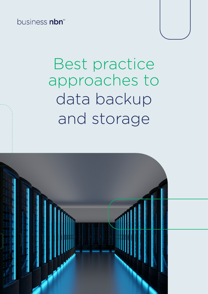business nbn<sup>™</sup>

# Best practice approaches to data backup and storage

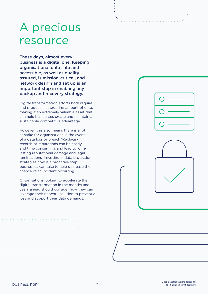## A precious resource

These days, almost every business is a digital one. Keeping organisational data safe and accessible, as well as qualityassured, is mission-critical, and network design and set up is an important step in enabling any backup and recovery strategy.

Digital transformation efforts both require and produce a staggering amount of data, making it an extremely valuable asset that can help businesses create and maintain a sustainable competitive advantage.

However, this also means there is a lot at stake for organisations in the event of a data loss or breach.<sup>1</sup> Replacing records or reparations can be costly and time consuming, and lead to longlasting reputational damage and legal ramifications. Investing in data protection strategies now is a proactive step businesses can take to help decrease the chance of an incident occurring.

Organisations looking to accelerate their digital transformation in the months and years ahead should consider how they can leverage their network solution to prevent a loss and support their data demands.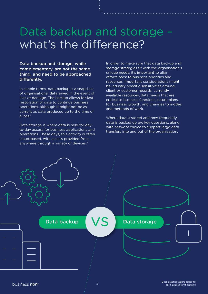### Data backup and storage – what's the difference?

Data backup and storage, while complementary, are not the same thing, and need to be approached differently.

In simple terms, data backup is a snapshot of organisational data saved in the event of loss or damage. The backup allows for fast restoration of data to continue business operations, although it might not be as current as data produced up to the time of a loss<sup>2</sup>

Data storage is where data is held for dayto-day access for business applications and operations. These days, this activity is often cloud-based, with access provided from anywhere through a variety of devices.<sup>3</sup>

In order to make sure that data backup and storage strategies fit with the organisation's unique needs, it's important to align efforts back to business priorities and resources. Important considerations might be industry-specific sensitivities around client or customer records, currently available resources, data needs that are critical to business functions, future plans for business growth, and changes to modes and methods of work.

Where data is stored and how frequently data is backed up are key questions, along with network choice to support large data transfers into and out of the organisation.

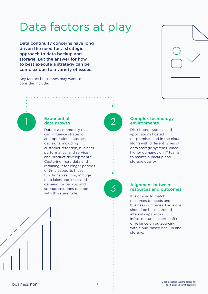## Data factors at play

Data continuity concerns have long driven the need for a strategic approach to data backup and storage. But the answer for how to best execute a strategy can be complex due to a variety of issues.

Key factors businesses may want to consider include:



#### **Exponential** 1 Exponential (2

Data is a commodity that can influence strategic and operational business decisions, including customer retention, business performance, and service and product development.4 Capturing more data and retaining it for longer periods of time supports these functions, resulting in huge data lakes and increased demand for backup and storage solutions to cope with this rising tide.



 $\mathbf{o}$ 

#### Complex technology environments

Distributed systems and applications hosted on-premises and in the cloud, along with different types of data storage systems, place higher demands on IT teams to maintain backup and storage quality.

3

 $\overline{O}$ 

#### Alignment between resources and outcomes

It is crucial to match resources to needs and business outcomes. Decisions should be based around internal capability (IT infrastructure, expert staff) or reliance on outsourcing with cloud-based backup and storage.

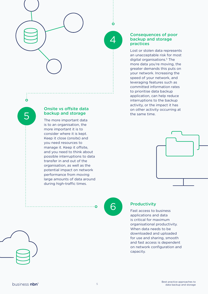

 $\boldsymbol{\varDelta}$ 

Ò

#### Consequences of poor backup and storage practices

Lost or stolen data represents an unacceptable risk for most digital organisations.<sup>5</sup> The more data you're moving, the greater demands this puts on your network. Increasing the speed of your network, and leveraging features such as committed information rates to prioritise data backup application, can help reduce interruptions to the backup activity, or the impact it has on other activity occurring at the same time.



Onsite vs offsite data backup and storage

The more important data is to an organisation, the more important it is to consider where it is kept. Keep it close (onsite) and you need resources to manage it. Keep it offsite, and you need to think about possible interruptions to data transfer in and out of the organisation, as well as the potential impact on network performance from moving large amounts of data around during high-traffic times.

6

 $\cdot$   $\Omega$ 

#### **Productivity**

Fast access to business applications and data is critical for maximum organisational productivity. When data needs to be downloaded and uploaded for use and sharing, smooth and fast access is dependent on network configuration and capacity.



5

 $\overline{O}$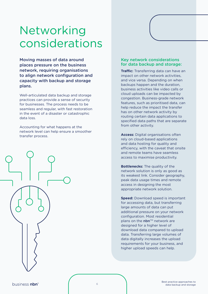## Networking considerations

Moving masses of data around places pressure on the business network, requiring organisations to align network configuration and capacity with backup and storage plans.

Well-articulated data backup and storage practices can provide a sense of security for businesses. The process needs to be seamless and regular, with fast restoration in the event of a disaster or catastrophic data loss.

Accounting for what happens at the network level can help ensure a smoother transfer process.



#### Key network considerations for data backup and storage:

**Traffic:** Transferring data can have an impact on other network activities, and vice versa. Depending on when backups happen and the duration, business activities like video calls or cloud uploads can be impacted by congestion. Business-grade network features, such as prioritised data, can help reduce the impact the transfer has on other network activity by routing certain data applications to specified data paths that are separate from other activity.

**Access:** Digital organisations often rely on cloud-based applications and data hosting for quality and efficiency, with the caveat that onsite and remote teams have seamless access to maximise productivity.

**Bottlenecks:** The quality of the network solution is only as good as its weakest link. Consider geography, peak data usage times and remote access in designing the most appropriate network solution.

**Speed:** Download speed is important for accessing data, but transferring large amounts of data can put additional pressure on your network configuration. Most residential plans on the  $nbn^{m}$  network are designed for a higher level of download data compared to upload data. Transferring large volumes of data digitally increases the upload requirements for your business, and higher upload speeds can help.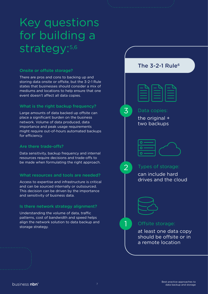## Key questions for building a strategy: 5,6

#### Onsite or offsite storage?

There are pros and cons to backing up and storing data onsite or offsite, but the 3-2-1 Rule states that businesses should consider a mix of mediums and locations to help ensure that one event doesn't affect all data copies.

#### What is the right backup frequency?

Large amounts of data backed up offsite can place a significant burden on the business network. Volume of data produced, data importance and peak usage requirements might require out-of-hours automated backups for efficiency.

#### Are there trade-offs?

Data sensitivity, backup frequency and internal resources require decisions and trade-offs to be made when formulating the right approach.

#### What resources and tools are needed?

Access to expertise and infrastructure is critical and can be sourced internally or outsourced. This decision can be driven by the importance and sensitivity of business data.

#### Is there network strategy alignment?

Understanding the volume of data, traffic patterns, cost of bandwidth and speed helps align the network solution to data backup and **1** Offsite storage:<br>storage strategy.

The  $3-2-1$  Rule<sup>6</sup>



#### Data copies:

the original + two backups

### Types of storage:

can include hard drives and the cloud



1

 $2^{\degree}$ 

3

at least one data copy should be offsite or in a remote location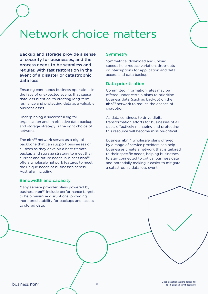### Network choice matters

Backup and storage provide a sense of security for businesses, and the process needs to be seamless and regular, with fast restoration in the event of a disaster or catastrophic data loss.

Ensuring continuous business operations in the face of unexpected events that cause data loss is critical to creating long-term resilience and protecting data as a valuable business asset.

Underpinning a successful digital organisation and an effective data backup and storage strategy is the right choice of network.

The nbn<sup> $TM$ </sup> network serves as a digital backbone that can support businesses of all sizes as they develop a best-fit data backup and storage strategy to meet their current and future needs. business  $nbn^{m}$ offers wholesale network features to meet the unique needs of businesses across Australia, including:

#### Bandwidth and capacity

Many service provider plans powered by business nbn™ include performance targets to help minimise disruptions, providing more predictability for backups and access to stored data.

#### **Symmetry**

Symmetrical download and upload speeds help reduce variation, drop-outs or interruptions for application and data access and data backup.

#### Data prioritisation

Committed information rates may be offered under certain plans to prioritise business data (such as backup) on the  $n$ bn<sup>™</sup> network to reduce the chance of disruption.

As data continues to drive digital transformation efforts for businesses of all sizes, effectively managing and protecting this resource will become mission-critical.

business nbn™ wholesale plans offered by a range of service providers can help businesses create a network that is tailored to their specific needs, helping businesses to stay connected to critical business data and potentially making it easier to mitigate a catastrophic data loss event.